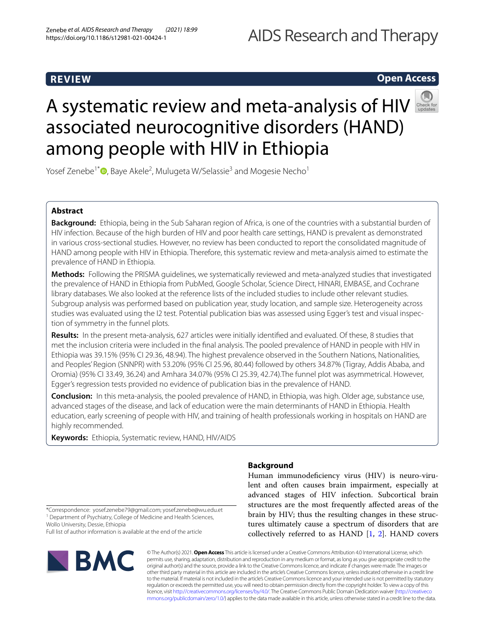# AIDS Research and Therapy

# **REVIEW**

# **Open Access**

# Asystematic review and meta-analysis of HIV associated neurocognitive disorders (HAND) among people with HIV in Ethiopia



Yosef Zenebe<sup>1[\\*](http://orcid.org/0000-0002-0138-6588)</sup>®, Baye Akele<sup>2</sup>, Mulugeta W/Selassie<sup>3</sup> and Mogesie Necho<sup>1</sup>

# **Abstract**

**Background:** Ethiopia, being in the Sub Saharan region of Africa, is one of the countries with a substantial burden of HIV infection. Because of the high burden of HIV and poor health care settings, HAND is prevalent as demonstrated in various cross-sectional studies. However, no review has been conducted to report the consolidated magnitude of HAND among people with HIV in Ethiopia. Therefore, this systematic review and meta-analysis aimed to estimate the prevalence of HAND in Ethiopia.

**Methods:** Following the PRISMA guidelines, we systematically reviewed and meta-analyzed studies that investigated the prevalence of HAND in Ethiopia from PubMed, Google Scholar, Science Direct, HINARI, EMBASE, and Cochrane library databases. We also looked at the reference lists of the included studies to include other relevant studies. Subgroup analysis was performed based on publication year, study location, and sample size. Heterogeneity across studies was evaluated using the I2 test. Potential publication bias was assessed using Egger's test and visual inspection of symmetry in the funnel plots.

**Results:** In the present meta-analysis, 627 articles were initially identifed and evaluated. Of these, 8 studies that met the inclusion criteria were included in the fnal analysis. The pooled prevalence of HAND in people with HIV in Ethiopia was 39.15% (95% CI 29.36, 48.94). The highest prevalence observed in the Southern Nations, Nationalities, and Peoples' Region (SNNPR) with 53.20% (95% CI 25.96, 80.44) followed by others 34.87% (Tigray, Addis Ababa, and Oromia) (95% CI 33.49, 36.24) and Amhara 34.07% (95% CI 25.39, 42.74).The funnel plot was asymmetrical. However, Egger's regression tests provided no evidence of publication bias in the prevalence of HAND.

**Conclusion:** In this meta-analysis, the pooled prevalence of HAND, in Ethiopia, was high. Older age, substance use, advanced stages of the disease, and lack of education were the main determinants of HAND in Ethiopia. Health education, early screening of people with HIV, and training of health professionals working in hospitals on HAND are highly recommended.

**Keywords:** Ethiopia, Systematic review, HAND, HIV/AIDS

# **Background**

Human immunodefciency virus (HIV) is neuro-virulent and often causes brain impairment, especially at advanced stages of HIV infection. Subcortical brain structures are the most frequently afected areas of the brain by HIV; thus the resulting changes in these structures ultimately cause a spectrum of disorders that are collectively referred to as HAND  $[1, 2]$  $[1, 2]$  $[1, 2]$  $[1, 2]$ . HAND covers

\*Correspondence: yosef.zenebe79@gmail.com; yosef.zenebe@wu.edu.et <sup>1</sup> Department of Psychiatry, College of Medicine and Health Sciences, Wollo University, Dessie, Ethiopia

Full list of author information is available at the end of the article



© The Author(s) 2021. **Open Access** This article is licensed under a Creative Commons Attribution 4.0 International License, which permits use, sharing, adaptation, distribution and reproduction in any medium or format, as long as you give appropriate credit to the original author(s) and the source, provide a link to the Creative Commons licence, and indicate if changes were made. The images or other third party material in this article are included in the article's Creative Commons licence, unless indicated otherwise in a credit line to the material. If material is not included in the article's Creative Commons licence and your intended use is not permitted by statutory regulation or exceeds the permitted use, you will need to obtain permission directly from the copyright holder. To view a copy of this licence, visit [http://creativecommons.org/licenses/by/4.0/.](http://creativecommons.org/licenses/by/4.0/) The Creative Commons Public Domain Dedication waiver ([http://creativeco](http://creativecommons.org/publicdomain/zero/1.0/) [mmons.org/publicdomain/zero/1.0/](http://creativecommons.org/publicdomain/zero/1.0/)) applies to the data made available in this article, unless otherwise stated in a credit line to the data.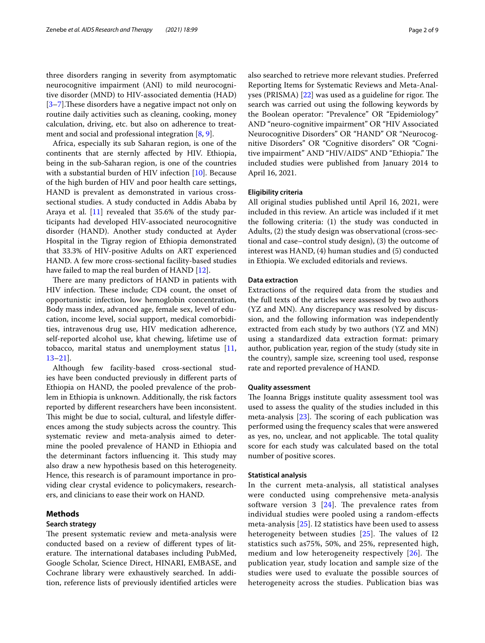three disorders ranging in severity from asymptomatic neurocognitive impairment (ANI) to mild neurocognitive disorder (MND) to HIV-associated dementia (HAD) [[3–](#page-8-1)[7\]](#page-8-2). These disorders have a negative impact not only on routine daily activities such as cleaning, cooking, money calculation, driving, etc. but also on adherence to treatment and social and professional integration [\[8](#page-8-3), [9\]](#page-8-4).

Africa, especially its sub Saharan region, is one of the continents that are sternly afected by HIV. Ethiopia, being in the sub-Saharan region, is one of the countries with a substantial burden of HIV infection [\[10\]](#page-8-5). Because of the high burden of HIV and poor health care settings, HAND is prevalent as demonstrated in various crosssectional studies. A study conducted in Addis Ababa by Araya et al. [[11](#page-8-6)] revealed that 35.6% of the study participants had developed HIV-associated neurocognitive disorder (HAND). Another study conducted at Ayder Hospital in the Tigray region of Ethiopia demonstrated that 33.3% of HIV-positive Adults on ART experienced HAND. A few more cross-sectional facility-based studies have failed to map the real burden of HAND [\[12](#page-8-7)].

There are many predictors of HAND in patients with HIV infection. These include; CD4 count, the onset of opportunistic infection, low hemoglobin concentration, Body mass index, advanced age, female sex, level of education, income level, social support, medical comorbidities, intravenous drug use, HIV medication adherence, self-reported alcohol use, khat chewing, lifetime use of tobacco, marital status and unemployment status [\[11](#page-8-6), [13–](#page-8-8)[21](#page-8-9)].

Although few facility-based cross-sectional studies have been conducted previously in diferent parts of Ethiopia on HAND, the pooled prevalence of the problem in Ethiopia is unknown. Additionally, the risk factors reported by diferent researchers have been inconsistent. This might be due to social, cultural, and lifestyle differences among the study subjects across the country. This systematic review and meta-analysis aimed to determine the pooled prevalence of HAND in Ethiopia and the determinant factors influencing it. This study may also draw a new hypothesis based on this heterogeneity. Hence, this research is of paramount importance in providing clear crystal evidence to policymakers, researchers, and clinicians to ease their work on HAND.

## **Methods**

## **Search strategy**

The present systematic review and meta-analysis were conducted based on a review of diferent types of literature. The international databases including PubMed, Google Scholar, Science Direct, HINARI, EMBASE, and Cochrane library were exhaustively searched. In addition, reference lists of previously identifed articles were also searched to retrieve more relevant studies. Preferred Reporting Items for Systematic Reviews and Meta-Analyses (PRISMA)  $[22]$  $[22]$  was used as a guideline for rigor. The search was carried out using the following keywords by the Boolean operator: "Prevalence" OR "Epidemiology" AND "neuro-cognitive impairment" OR "HIV Associated Neurocognitive Disorders" OR "HAND" OR "Neurocognitive Disorders" OR "Cognitive disorders" OR "Cognitive impairment" AND "HIV/AIDS" AND "Ethiopia." The included studies were published from January 2014 to April 16, 2021.

## **Eligibility criteria**

All original studies published until April 16, 2021, were included in this review. An article was included if it met the following criteria: (1) the study was conducted in Adults, (2) the study design was observational (cross-sectional and case–control study design), (3) the outcome of interest was HAND, (4) human studies and (5) conducted in Ethiopia. We excluded editorials and reviews.

## **Data extraction**

Extractions of the required data from the studies and the full texts of the articles were assessed by two authors (YZ and MN). Any discrepancy was resolved by discussion, and the following information was independently extracted from each study by two authors (YZ and MN) using a standardized data extraction format: primary author, publication year, region of the study (study site in the country), sample size, screening tool used, response rate and reported prevalence of HAND.

## **Quality assessment**

The Joanna Briggs institute quality assessment tool was used to assess the quality of the studies included in this meta-analysis  $[23]$  $[23]$ . The scoring of each publication was performed using the frequency scales that were answered as yes, no, unclear, and not applicable. The total quality score for each study was calculated based on the total number of positive scores.

## **Statistical analysis**

In the current meta-analysis, all statistical analyses were conducted using comprehensive meta-analysis software version 3  $[24]$ . The prevalence rates from individual studies were pooled using a random-efects meta-analysis [[25](#page-8-13)]. I2 statistics have been used to assess heterogeneity between studies  $[25]$  $[25]$  $[25]$ . The values of I2 statistics such as75%, 50%, and 25%, represented high, medium and low heterogeneity respectively  $[26]$  $[26]$  $[26]$ . The publication year, study location and sample size of the studies were used to evaluate the possible sources of heterogeneity across the studies. Publication bias was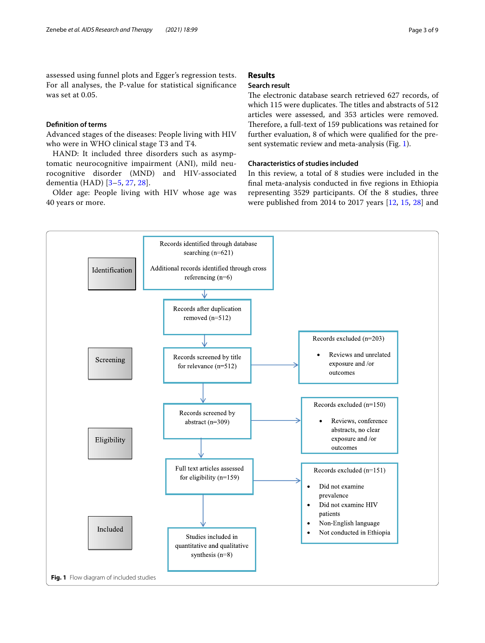assessed using funnel plots and Egger's regression tests. For all analyses, the P-value for statistical signifcance was set at 0.05.

## **Defnition of terms**

Advanced stages of the diseases: People living with HIV who were in WHO clinical stage T3 and T4.

HAND: It included three disorders such as asymptomatic neurocognitive impairment (ANI), mild neurocognitive disorder (MND) and HIV-associated dementia (HAD) [\[3](#page-8-1)[–5](#page-8-15), [27](#page-8-16), [28](#page-8-17)].

Older age: People living with HIV whose age was 40 years or more.

# **Results**

# **Search result**

The electronic database search retrieved 627 records, of which 115 were duplicates. The titles and abstracts of 512 articles were assessed, and 353 articles were removed. Therefore, a full-text of 159 publications was retained for further evaluation, 8 of which were qualifed for the present systematic review and meta-analysis (Fig. [1](#page-2-0)).

# **Characteristics of studies included**

In this review, a total of 8 studies were included in the fnal meta-analysis conducted in fve regions in Ethiopia representing 3529 participants. Of the 8 studies, three were published from 2014 to 2017 years [\[12](#page-8-7), [15](#page-8-18), [28](#page-8-17)] and

<span id="page-2-0"></span>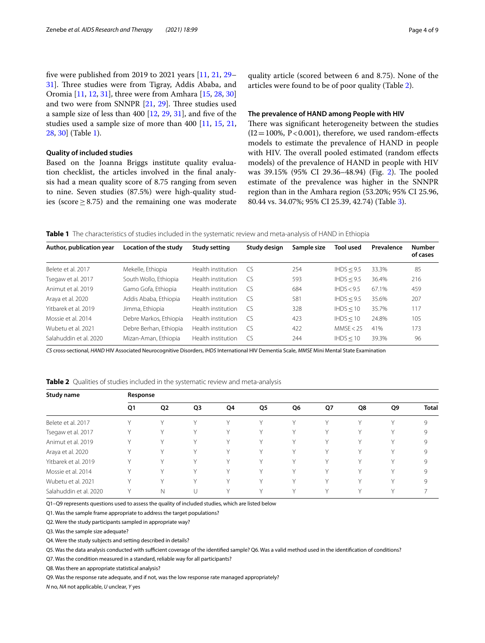fve were published from 2019 to 2021 years [\[11,](#page-8-6) [21,](#page-8-9) [29–](#page-8-19) [31\]](#page-8-20). Three studies were from Tigray, Addis Ababa, and Oromia [\[11](#page-8-6), [12,](#page-8-7) [31](#page-8-20)], three were from Amhara [\[15](#page-8-18), [28,](#page-8-17) [30](#page-8-21)] and two were from SNNPR  $[21, 29]$  $[21, 29]$  $[21, 29]$  $[21, 29]$ . Three studies used a sample size of less than 400 [[12,](#page-8-7) [29](#page-8-19), [31](#page-8-20)], and fve of the studies used a sample size of more than 400 [[11,](#page-8-6) [15](#page-8-18), [21](#page-8-9), [28,](#page-8-17) [30\]](#page-8-21) (Table [1](#page-3-0)).

## **Quality of included studies**

Based on the Joanna Briggs institute quality evaluation checklist, the articles involved in the fnal analysis had a mean quality score of 8.75 ranging from seven to nine. Seven studies (87.5%) were high-quality studies (score ≥ 8.75) and the remaining one was moderate quality article (scored between 6 and 8.75). None of the articles were found to be of poor quality (Table [2\)](#page-3-1).

## **The prevalence of HAND among People with HIV**

There was significant heterogeneity between the studies  $(12=100\% , P<0.001)$ , therefore, we used random-effects models to estimate the prevalence of HAND in people with HIV. The overall pooled estimated (random effects models) of the prevalence of HAND in people with HIV was 39.15% (95% CI 29.36-48.94) (Fig. [2\)](#page-4-0). The pooled estimate of the prevalence was higher in the SNNPR region than in the Amhara region (53.20%; 95% CI 25.96, 80.44 vs. 34.07%; 95% CI 25.39, 42.74) (Table [3\)](#page-4-1).

<span id="page-3-0"></span>**Table 1** The characteristics of studies included in the systematic review and meta-analysis of HAND in Ethiopia

| Author, publication year | Location of the study  | Study setting      | Study design | Sample size | <b>Tool used</b> | Prevalence | <b>Number</b><br>of cases |
|--------------------------|------------------------|--------------------|--------------|-------------|------------------|------------|---------------------------|
| Belete et al. 2017       | Mekelle, Ethiopia      | Health institution | CS.          | 254         | IHDS < 9.5       | 33.3%      | 85                        |
| Tsegaw et al. 2017       | South Wollo, Ethiopia  | Health institution | CS.          | 593         | IHDS < 9.5       | 36.4%      | 216                       |
| Animut et al. 2019       | Gamo Gofa, Ethiopia    | Health institution | CS.          | 684         | HDS < 9.5        | 67.1%      | 459                       |
| Araya et al. 2020        | Addis Ababa, Ethiopia  | Health institution | CS.          | 581         | IHDS < 9.5       | 35.6%      | 207                       |
| Yitbarek et al. 2019     | Jimma, Ethiopia        | Health institution | CS.          | 328         | IHDS < 10        | 35.7%      | 117                       |
| Mossie et al. 2014       | Debre Markos, Ethiopia | Health institution | CS.          | 423         | IHDS < 10        | 24.8%      | 105                       |
| Wubetu et al. 2021       | Debre Berhan, Ethiopia | Health institution | CS.          | 422         | MMSE < 25        | 41%        | 173                       |
| Salahuddin et al. 2020   | Mizan-Aman, Ethiopia   | Health institution | CS.          | 244         | IHDS < 10        | 39.3%      | 96                        |

*CS* cross-sectional, *HAND* HIV Associated Neurocognitive Disorders, *IHDS* International HIV Dementia Scale, *MMSE* Mini Mental State Examination

<span id="page-3-1"></span>

| Study name             | Response     |                |              |              |        |              |    |              |        |              |
|------------------------|--------------|----------------|--------------|--------------|--------|--------------|----|--------------|--------|--------------|
|                        | Q1           | Q <sub>2</sub> | Q3           | Q4           | Q5     | Q6           | Q7 | Q8           | Q9     | <b>Total</b> |
| Belete et al. 2017     | $\checkmark$ | ν              |              |              |        | $\vee$       | v  | $\vee$       | v      | 9            |
| Tsegaw et al. 2017     | v            | ٧              |              |              |        |              |    | V            | ٧      | 9            |
| Animut et al. 2019     | v            | ٧              | $\checkmark$ | $\checkmark$ | $\vee$ | $\vee$       | v  | $\vee$       | Υ      | 9            |
| Araya et al. 2020      | v            | v              |              |              |        | $\vee$       | v  |              | v      | 9            |
| Yitbarek et al. 2019   | $\checkmark$ | V              | $\checkmark$ | v            | $\vee$ | v            | v  | v            | v      | 9            |
| Mossie et al. 2014     | $\checkmark$ | $\checkmark$   |              |              |        | $\vee$       | v  |              | $\vee$ | 9            |
| Wubetu et al. 2021     | $\checkmark$ | $\checkmark$   | ν            |              | v      | $\checkmark$ | v  | $\checkmark$ | v      | 9            |
| Salahuddin et al. 2020 |              | Ν              |              |              |        | $\vee$       |    |              | v      |              |

Q1–Q9 represents questions used to assess the quality of included studies, which are listed below

Q1. Was the sample frame appropriate to address the target populations?

Q2. Were the study participants sampled in appropriate way?

Q3. Was the sample size adequate?

Q4. Were the study subjects and setting described in details?

Q5. Was the data analysis conducted with sufficient coverage of the identified sample? Q6. Was a valid method used in the identification of conditions?

Q7. Was the condition measured in a standard, reliable way for all participants?

Q8. Was there an appropriate statistical analysis?

Q9. Was the response rate adequate, and if not, was the low response rate managed appropriately?

*N* no, *NA* not applicable, *U* unclear, *Y* yes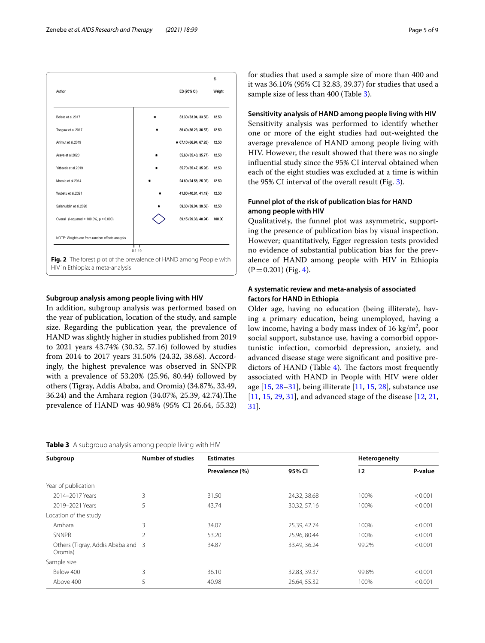

## <span id="page-4-0"></span>**Subgroup analysis among people living with HIV**

In addition, subgroup analysis was performed based on the year of publication, location of the study, and sample size. Regarding the publication year, the prevalence of HAND was slightly higher in studies published from 2019 to 2021 years 43.74% (30.32, 57.16) followed by studies from 2014 to 2017 years 31.50% (24.32, 38.68). Accordingly, the highest prevalence was observed in SNNPR with a prevalence of 53.20% (25.96, 80.44) followed by others (Tigray, Addis Ababa, and Oromia) (34.87%, 33.49, 36.24) and the Amhara region (34.07%, 25.39, 42.74). The prevalence of HAND was 40.98% (95% CI 26.64, 55.32)

<span id="page-4-1"></span>**Table 3** A subgroup analysis among people living with HIV

for studies that used a sample size of more than 400 and it was 36.10% (95% CI 32.83, 39.37) for studies that used a sample size of less than 400 (Table [3](#page-4-1)).

# **Sensitivity analysis of HAND among people living with HIV**

Sensitivity analysis was performed to identify whether one or more of the eight studies had out-weighted the average prevalence of HAND among people living with HIV. However, the result showed that there was no single infuential study since the 95% CI interval obtained when each of the eight studies was excluded at a time is within the 95% CI interval of the overall result (Fig. [3](#page-5-0)).

# **Funnel plot of the risk of publication bias for HAND among people with HIV**

Qualitatively, the funnel plot was asymmetric, supporting the presence of publication bias by visual inspection. However; quantitatively, Egger regression tests provided no evidence of substantial publication bias for the prevalence of HAND among people with HIV in Ethiopia  $(P=0.201)$  (Fig. [4](#page-5-1)).

# **A systematic review and meta‑analysis of associated factors for HAND in Ethiopia**

Older age, having no education (being illiterate), having a primary education, being unemployed, having a low income, having a body mass index of  $16 \text{ kg/m}^2$ , poor social support, substance use, having a comorbid opportunistic infection, comorbid depression, anxiety, and advanced disease stage were signifcant and positive predictors of HAND (Table  $4$ ). The factors most frequently associated with HAND in People with HIV were older age  $[15, 28-31]$  $[15, 28-31]$  $[15, 28-31]$  $[15, 28-31]$ , being illiterate  $[11, 15, 28]$  $[11, 15, 28]$  $[11, 15, 28]$  $[11, 15, 28]$  $[11, 15, 28]$ , substance use [[11,](#page-8-6) [15](#page-8-18), [29,](#page-8-19) [31](#page-8-20)], and advanced stage of the disease [[12,](#page-8-7) [21](#page-8-9), [31\]](#page-8-20).

| Subgroup                                     | <b>Number of studies</b> | <b>Estimates</b> |              | Heterogeneity |         |
|----------------------------------------------|--------------------------|------------------|--------------|---------------|---------|
|                                              |                          | Prevalence (%)   | 95% CI       | 12            | P-value |
| Year of publication                          |                          |                  |              |               |         |
| 2014-2017 Years                              | 3                        | 31.50            | 24.32, 38.68 | 100%          | < 0.001 |
| 2019-2021 Years                              | 5                        | 43.74            | 30.32, 57.16 | 100%          | < 0.001 |
| Location of the study                        |                          |                  |              |               |         |
| Amhara                                       | 3                        | 34.07            | 25.39, 42.74 | 100%          | < 0.001 |
| SNNPR                                        | $\overline{2}$           | 53.20            | 25.96, 80.44 | 100%          | < 0.001 |
| Others (Tigray, Addis Ababa and 3<br>Oromia) |                          | 34.87            | 33.49, 36.24 | 99.2%         | < 0.001 |
| Sample size                                  |                          |                  |              |               |         |
| Below 400                                    | 3                        | 36.10            | 32.83, 39.37 | 99.8%         | < 0.001 |
| Above 400                                    | 5                        | 40.98            | 26.64, 55.32 | 100%          | < 0.001 |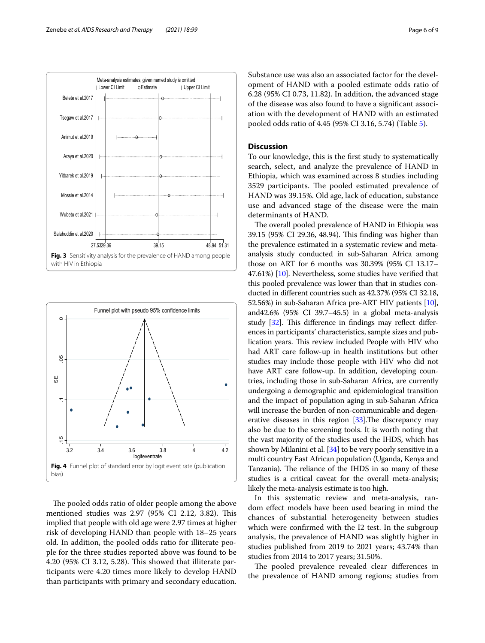

<span id="page-5-0"></span>

<span id="page-5-1"></span>The pooled odds ratio of older people among the above mentioned studies was 2.97 (95% CI 2.12, 3.82). This implied that people with old age were 2.97 times at higher risk of developing HAND than people with 18–25 years old. In addition, the pooled odds ratio for illiterate people for the three studies reported above was found to be 4.20 (95% CI 3.12, 5.28). Tis showed that illiterate participants were 4.20 times more likely to develop HAND than participants with primary and secondary education. Substance use was also an associated factor for the development of HAND with a pooled estimate odds ratio of 6.28 (95% CI 0.73, 11.82). In addition, the advanced stage of the disease was also found to have a signifcant association with the development of HAND with an estimated pooled odds ratio of 4.45 (95% CI 3.16, 5.74) (Table [5\)](#page-6-1).

# **Discussion**

To our knowledge, this is the frst study to systematically search, select, and analyze the prevalence of HAND in Ethiopia, which was examined across 8 studies including 3529 participants. The pooled estimated prevalence of HAND was 39.15%. Old age, lack of education, substance use and advanced stage of the disease were the main determinants of HAND.

The overall pooled prevalence of HAND in Ethiopia was 39.15 (95% CI 29.36, 48.94). This finding was higher than the prevalence estimated in a systematic review and metaanalysis study conducted in sub-Saharan Africa among those on ART for 6 months was 30.39% (95% CI 13.17– 47.61%) [[10](#page-8-5)]. Nevertheless, some studies have verifed that this pooled prevalence was lower than that in studies conducted in diferent countries such as 42.37% (95% CI 32.18, 52.56%) in sub-Saharan Africa pre-ART HIV patients [[10](#page-8-5)], and42.6% (95% CI 39.7–45.5) in a global meta-analysis study  $[32]$ . This difference in findings may reflect differences in participants' characteristics, sample sizes and publication years. This review included People with HIV who had ART care follow-up in health institutions but other studies may include those people with HIV who did not have ART care follow-up. In addition, developing countries, including those in sub-Saharan Africa, are currently undergoing a demographic and epidemiological transition and the impact of population aging in sub-Saharan Africa will increase the burden of non-communicable and degenerative diseases in this region  $[33]$ . The discrepancy may also be due to the screening tools. It is worth noting that the vast majority of the studies used the IHDS, which has shown by Milanini et al. [\[34\]](#page-8-24) to be very poorly sensitive in a multi country East African population (Uganda, Kenya and Tanzania). The reliance of the IHDS in so many of these studies is a critical caveat for the overall meta-analysis; likely the meta-analysis estimate is too high.

In this systematic review and meta-analysis, random efect models have been used bearing in mind the chances of substantial heterogeneity between studies which were confrmed with the I2 test. In the subgroup analysis, the prevalence of HAND was slightly higher in studies published from 2019 to 2021 years; 43.74% than studies from 2014 to 2017 years; 31.50%.

The pooled prevalence revealed clear differences in the prevalence of HAND among regions; studies from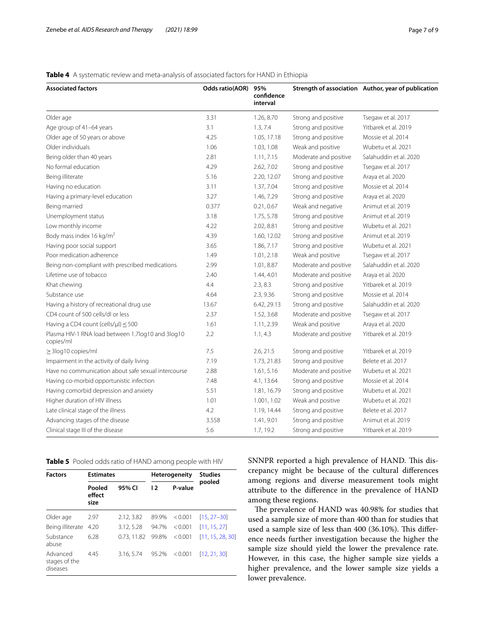# <span id="page-6-0"></span>**Table 4** A systematic review and meta-analysis of associated factors for HAND in Ethiopia

| <b>Associated factors</b>                                      | <b>Odds ratio(AOR)</b> | 95%<br>confidence<br>interval |                       | Strength of association Author, year of publication |
|----------------------------------------------------------------|------------------------|-------------------------------|-----------------------|-----------------------------------------------------|
| Older age                                                      | 3.31                   | 1.26, 8.70                    | Strong and positive   | Tsegaw et al. 2017                                  |
| Age group of 41-64 years                                       | 3.1                    | 1.3, 7.4                      | Strong and positive   | Yitbarek et al. 2019                                |
| Older age of 50 years or above                                 | 4.25                   | 1.05, 17.18                   | Strong and positive   | Mossie et al. 2014                                  |
| Older individuals                                              | 1.06                   | 1.03, 1.08                    | Weak and positive     | Wubetu et al. 2021                                  |
| Being older than 40 years                                      | 2.81                   | 1.11, 7.15                    | Moderate and positive | Salahuddin et al. 2020                              |
| No formal education                                            | 4.29                   | 2.62, 7.02                    | Strong and positive   | Tsegaw et al. 2017                                  |
| Being illiterate                                               | 5.16                   | 2.20, 12.07                   | Strong and positive   | Araya et al. 2020                                   |
| Having no education                                            | 3.11                   | 1.37, 7.04                    | Strong and positive   | Mossie et al. 2014                                  |
| Having a primary-level education                               | 3.27                   | 1.46, 7.29                    | Strong and positive   | Araya et al. 2020                                   |
| Being married                                                  | 0.377                  | 0.21, 0.67                    | Weak and negative     | Animut et al. 2019                                  |
| Unemployment status                                            | 3.18                   | 1.75, 5.78                    | Strong and positive   | Animut et al. 2019                                  |
| Low monthly income                                             | 4.22                   | 2.02, 8.81                    | Strong and positive   | Wubetu et al. 2021                                  |
| Body mass index 16 kg/m <sup>2</sup>                           | 4.39                   | 1.60, 12.02                   | Strong and positive   | Animut et al. 2019                                  |
| Having poor social support                                     | 3.65                   | 1.86, 7.17                    | Strong and positive   | Wubetu et al. 2021                                  |
| Poor medication adherence                                      | 1.49                   | 1.01, 2.18                    | Weak and positive     | Tsegaw et al. 2017                                  |
| Being non-compliant with prescribed medications                | 2.99                   | 1.01, 8.87                    | Moderate and positive | Salahuddin et al. 2020                              |
| Lifetime use of tobacco                                        | 2.40                   | 1.44, 4.01                    | Moderate and positive | Araya et al. 2020                                   |
| Khat chewing                                                   | 4.4                    | 2.3, 8.3                      | Strong and positive   | Yitbarek et al. 2019                                |
| Substance use                                                  | 4.64                   | 2.3, 9.36                     | Strong and positive   | Mossie et al. 2014                                  |
| Having a history of recreational drug use                      | 13.67                  | 6.42, 29.13                   | Strong and positive   | Salahuddin et al. 2020                              |
| CD4 count of 500 cells/dl or less                              | 2.37                   | 1.52, 3.68                    | Moderate and positive | Tsegaw et al. 2017                                  |
| Having a CD4 count (cells/ $\mu$ l) $\leq$ 500                 | 1.61                   | 1.11, 2.39                    | Weak and positive     | Araya et al. 2020                                   |
| Plasma HIV-1 RNA load between 1.7log10 and 3log10<br>copies/ml | 2.2                    | 1.1, 4.3                      | Moderate and positive | Yitbarek et al. 2019                                |
| $\geq$ 3 log 10 copies/ml                                      | 7.5                    | 2.6, 21.5                     | Strong and positive   | Yitbarek et al. 2019                                |
| Impairment in the activity of daily living                     | 7.19                   | 1.73, 21.83                   | Strong and positive   | Belete et al. 2017                                  |
| Have no communication about safe sexual intercourse            | 2.88                   | 1.61, 5.16                    | Moderate and positive | Wubetu et al. 2021                                  |
| Having co-morbid opportunistic infection                       | 7.48                   | 4.1, 13.64                    | Strong and positive   | Mossie et al. 2014                                  |
| Having comorbid depression and anxiety                         | 5.51                   | 1.81, 16.79                   | Strong and positive   | Wubetu et al. 2021                                  |
| Higher duration of HIV illness                                 | 1.01                   | 1.001, 1.02                   | Weak and positive     | Wubetu et al. 2021                                  |
| Late clinical stage of the illness                             | 4.2                    | 1.19, 14.44                   | Strong and positive   | Belete et al. 2017                                  |
| Advancing stages of the disease                                | 3.558                  | 1.41, 9.01                    | Strong and positive   | Animut et al. 2019                                  |
| Clinical stage III of the disease                              | 5.6                    | 1.7, 19.2                     | Strong and positive   | Yitbarek et al. 2019                                |

<span id="page-6-1"></span>**Table 5** Pooled odds ratio of HAND among people with HIV

| <b>Factors</b>                        | <b>Estimates</b>         |             |       | <b>Heterogeneity</b> | <b>Studies</b><br>pooled |
|---------------------------------------|--------------------------|-------------|-------|----------------------|--------------------------|
|                                       | Pooled<br>effect<br>size | 95% CI      | 12    | P-value              |                          |
| Older age                             | 2.97                     | 2.12, 3.82  | 89.9% | < 0.001              | $[15, 27 - 30]$          |
| Being illiterate                      | 4.20                     | 3.12, 5.28  | 94.7% | < 0.001              | [11, 15, 27]             |
| Substance<br>abuse                    | 6.28                     | 0.73, 11.82 | 99.8% | < 0.001              | [11, 15, 28, 30]         |
| Advanced<br>stages of the<br>diseases | 4.45                     | 3.16, 5.74  | 95.2% | < 0.001              | [12, 21, 30]             |

SNNPR reported a high prevalence of HAND. This discrepancy might be because of the cultural diferences among regions and diverse measurement tools might attribute to the diference in the prevalence of HAND among these regions.

The prevalence of HAND was 40.98% for studies that used a sample size of more than 400 than for studies that used a sample size of less than 400 (36.10%). This difference needs further investigation because the higher the sample size should yield the lower the prevalence rate. However, in this case, the higher sample size yields a higher prevalence, and the lower sample size yields a lower prevalence.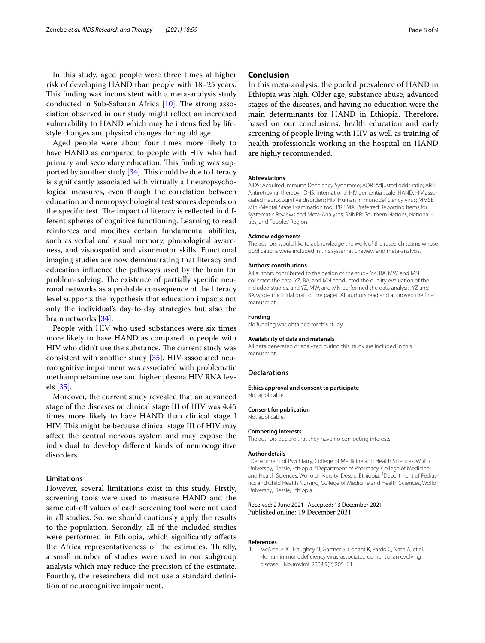In this study, aged people were three times at higher risk of developing HAND than people with 18–25 years. This finding was inconsistent with a meta-analysis study conducted in Sub-Saharan Africa  $[10]$  $[10]$ . The strong association observed in our study might refect an increased vulnerability to HAND which may be intensifed by lifestyle changes and physical changes during old age.

Aged people were about four times more likely to have HAND as compared to people with HIV who had primary and secondary education. This finding was supported by another study  $[34]$  $[34]$ . This could be due to literacy is signifcantly associated with virtually all neuropsychological measures, even though the correlation between education and neuropsychological test scores depends on the specific test. The impact of literacy is reflected in different spheres of cognitive functioning. Learning to read reinforces and modifes certain fundamental abilities, such as verbal and visual memory, phonological awareness, and visuospatial and visuomotor skills. Functional imaging studies are now demonstrating that literacy and education infuence the pathways used by the brain for problem-solving. The existence of partially specific neuronal networks as a probable consequence of the literacy level supports the hypothesis that education impacts not only the individual's day-to-day strategies but also the brain networks [[34\]](#page-8-24).

People with HIV who used substances were six times more likely to have HAND as compared to people with HIV who didn't use the substance. The current study was consistent with another study [[35\]](#page-8-25). HIV-associated neurocognitive impairment was associated with problematic methamphetamine use and higher plasma HIV RNA levels [[35\]](#page-8-25).

Moreover, the current study revealed that an advanced stage of the diseases or clinical stage III of HIV was 4.45 times more likely to have HAND than clinical stage I HIV. This might be because clinical stage III of HIV may afect the central nervous system and may expose the individual to develop diferent kinds of neurocognitive disorders.

# **Limitations**

However, several limitations exist in this study. Firstly, screening tools were used to measure HAND and the same cut-off values of each screening tool were not used in all studies. So, we should cautiously apply the results to the population. Secondly, all of the included studies were performed in Ethiopia, which signifcantly afects the Africa representativeness of the estimates. Thirdly, a small number of studies were used in our subgroup analysis which may reduce the precision of the estimate. Fourthly, the researchers did not use a standard defnition of neurocognitive impairment.

## **Conclusion**

In this meta-analysis, the pooled prevalence of HAND in Ethiopia was high. Older age, substance abuse, advanced stages of the diseases, and having no education were the main determinants for HAND in Ethiopia. Therefore, based on our conclusions, health education and early screening of people living with HIV as well as training of health professionals working in the hospital on HAND are highly recommended.

#### **Abbreviations**

AIDS: Acquired Immune Defciency Syndrome; AOR: Adjusted odds ratio; ART: Antiretroviral therapy; IDHS: International HIV dementia scale; HAND: HIV associated neurocognitive disorders; HIV: Human immunodefciency virus; MMSE: Mini-Mental State Examination tool; PRISMA: Preferred Reporting Items for Systematic Reviews and Meta-Analyses; SNNPR: Southern Nations, Nationalities, and Peoples' Region.

#### **Acknowledgements**

The authors would like to acknowledge the work of the research teams whose publications were included in this systematic review and meta-analysis.

#### **Authors' contributions**

All authors contributed to the design of the study. YZ, BA, MW, and MN collected the data. YZ, BA, and MN conducted the quality evaluation of the included studies, and YZ, MW, and MN performed the data analysis. YZ and BA wrote the initial draft of the paper. All authors read and approved the fnal manuscript.

#### **Funding**

No funding was obtained for this study.

#### **Availability of data and materials**

All data generated or analyzed during this study are included in this manuscript.

## **Declarations**

Not applicable.

## **Ethics approval and consent to participate**

**Consent for publication**

Not applicable.

#### **Competing interests**

The authors declare that they have no competing interests.

#### **Author details**

<sup>1</sup> Department of Psychiatry, College of Medicine and Health Sciences, Wollo University, Dessie, Ethiopia. <sup>2</sup> Department of Pharmacy, College of Medicine and Health Sciences, Wollo University, Dessie, Ethiopia.<sup>3</sup> Department of Pediatrics and Child Health Nursing, College of Medicine and Health Sciences, Wollo University, Dessie, Ethiopia.

#### Received: 2 June 2021 Accepted: 13 December 2021 Published online: 19 December 2021

## **References**

<span id="page-7-0"></span>1. McArthur JC, Haughey N, Gartner S, Conant K, Pardo C, Nath A, et al. Human immunodefciency virus-associated dementia: an evolving disease. J Neurovirol. 2003;9(2):205–21.